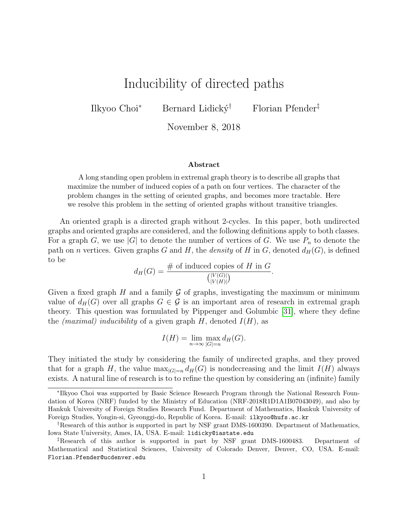# Inducibility of directed paths

Ilkyoo Choi<sup>∗</sup> Bernard Lidický<sup>†</sup> Florian Pfender<sup>‡</sup>

November 8, 2018

#### Abstract

A long standing open problem in extremal graph theory is to describe all graphs that maximize the number of induced copies of a path on four vertices. The character of the problem changes in the setting of oriented graphs, and becomes more tractable. Here we resolve this problem in the setting of oriented graphs without transitive triangles.

An oriented graph is a directed graph without 2-cycles. In this paper, both undirected graphs and oriented graphs are considered, and the following definitions apply to both classes. For a graph G, we use |G| to denote the number of vertices of G. We use  $P_n$  to denote the path on *n* vertices. Given graphs G and H, the *density* of H in G, denoted  $d_H(G)$ , is defined to be

$$
d_H(G) = \frac{\text{# of induced copies of } H \text{ in } G}{\binom{|V(G)|}{|V(H)|}}.
$$

Given a fixed graph  $H$  and a family  $G$  of graphs, investigating the maximum or minimum value of  $d_H(G)$  over all graphs  $G \in \mathcal{G}$  is an important area of research in extremal graph theory. This question was formulated by Pippenger and Golumbic [\[31\]](#page-16-0), where they define the *(maximal)* inducibility of a given graph  $H$ , denoted  $I(H)$ , as

$$
I(H) = \lim_{n \to \infty} \max_{|G|=n} d_H(G).
$$

They initiated the study by considering the family of undirected graphs, and they proved that for a graph H, the value  $\max_{|G|=n} d_H(G)$  is nondecreasing and the limit  $I(H)$  always exists. A natural line of research is to to refine the question by considering an (infinite) family

<sup>∗</sup> Ilkyoo Choi was supported by Basic Science Research Program through the National Research Foundation of Korea (NRF) funded by the Ministry of Education (NRF-2018R1D1A1B07043049), and also by Hankuk University of Foreign Studies Research Fund. Department of Mathematics, Hankuk University of Foreign Studies, Yongin-si, Gyeonggi-do, Republic of Korea. E-mail: ilkyoo@hufs.ac.kr

<sup>&</sup>lt;sup>†</sup>Research of this author is supported in part by NSF grant DMS-1600390. Department of Mathematics, Iowa State University, Ames, IA, USA. E-mail: lidicky@iastate.edu

<sup>‡</sup>Research of this author is supported in part by NSF grant DMS-1600483. Department of Mathematical and Statistical Sciences, University of Colorado Denver, Denver, CO, USA. E-mail: Florian.Pfender@ucdenver.edu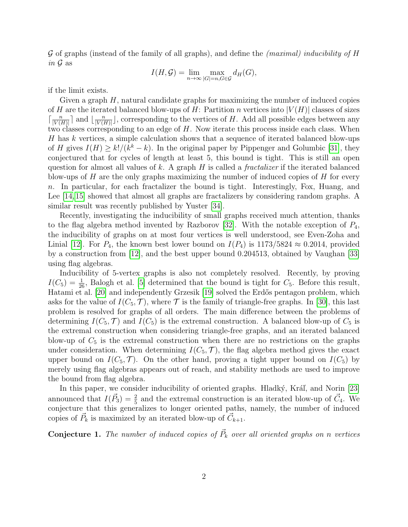$G$  of graphs (instead of the family of all graphs), and define the *(maximal) inducibility of H* in  $\mathcal G$  as

$$
I(H, \mathcal{G}) = \lim_{n \to \infty} \max_{|G| = n, G \in \mathcal{G}} d_H(G),
$$

if the limit exists.

Given a graph  $H$ , natural candidate graphs for maximizing the number of induced copies of H are the iterated balanced blow-ups of H: Partition n vertices into  $|V(H)|$  classes of sizes  $\lceil \frac{n}{\vert V(u) \vert} \rceil$  $\frac{n}{|V(H)|}$  and  $\lfloor \frac{n}{|V(H)|} \rfloor$  $\frac{n}{|V(H)|}$ , corresponding to the vertices of H. Add all possible edges between any two classes corresponding to an edge of  $H$ . Now iterate this process inside each class. When  $H$  has  $k$  vertices, a simple calculation shows that a sequence of iterated balanced blow-ups of H gives  $I(H) \geq k!/(k^k - k)$ . In the original paper by Pippenger and Golumbic [\[31\]](#page-16-0), they conjectured that for cycles of length at least 5, this bound is tight. This is still an open question for almost all values of k. A graph  $H$  is called a *fractalizer* if the iterated balanced blow-ups of H are the only graphs maximizing the number of induced copies of H for every n. In particular, for each fractalizer the bound is tight. Interestingly, Fox, Huang, and Lee [\[14,](#page-15-0) [15\]](#page-15-1) showed that almost all graphs are fractalizers by considering random graphs. A similar result was recently published by Yuster [\[34\]](#page-16-1).

Recently, investigating the inducibility of small graphs received much attention, thanks to the flag algebra method invented by Razborov [\[32\]](#page-16-2). With the notable exception of  $P_4$ , the inducibility of graphs on at most four vertices is well understood, see Even-Zoha and Linial [\[12\]](#page-15-2). For  $P_4$ , the known best lower bound on  $I(P_4)$  is 1173/5824  $\approx 0.2014$ , provided by a construction from [\[12\]](#page-15-2), and the best upper bound 0.204513, obtained by Vaughan [\[33\]](#page-16-3) using flag algebras.

Inducibility of 5-vertex graphs is also not completely resolved. Recently, by proving  $I(C_5) = \frac{1}{26}$ , Balogh et al. [\[5\]](#page-14-0) determined that the bound is tight for  $C_5$ . Before this result, Hatami et al. [\[20\]](#page-15-3) and independently Grzesik [\[19\]](#page-15-4) solved the Erdős pentagon problem, which asks for the value of  $I(C_5, \mathcal{T})$ , where  $\mathcal T$  is the family of triangle-free graphs. In [\[30\]](#page-16-4), this last problem is resolved for graphs of all orders. The main difference between the problems of determining  $I(C_5, \mathcal{T})$  and  $I(C_5)$  is the extremal construction. A balanced blow-up of  $C_5$  is the extremal construction when considering triangle-free graphs, and an iterated balanced blow-up of  $C_5$  is the extremal construction when there are no restrictions on the graphs under consideration. When determining  $I(C_5, \mathcal{T})$ , the flag algebra method gives the exact upper bound on  $I(C_5, \mathcal{T})$ . On the other hand, proving a tight upper bound on  $I(C_5)$  by merely using flag algebras appears out of reach, and stability methods are used to improve the bound from flag algebra.

In this paper, we consider inducibility of oriented graphs. Hladký, Kráľ, and Norin [\[23\]](#page-16-5) announced that  $I(\vec{P}_3) = \frac{2}{5}$  and the extremal construction is an iterated blow-up of  $\vec{C}_4$ . We conjecture that this generalizes to longer oriented paths, namely, the number of induced copies of  $\vec{P}_k$  is maximized by an iterated blow-up of  $\vec{C}_{k+1}$ .

<span id="page-1-0"></span>**Conjecture 1.** The number of induced copies of  $\vec{P}_k$  over all oriented graphs on n vertices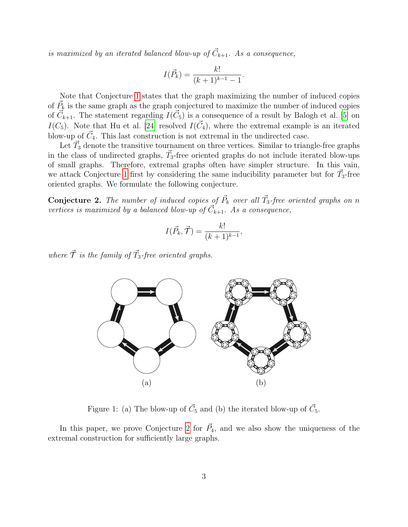is maximized by an iterated balanced blow-up of  $\vec{C}_{k+1}$ . As a consequence,

$$
I(\vec{P}_k) = \frac{k!}{(k+1)^{k-1} - 1}.
$$

Note that Conjecture [1](#page-1-0) states that the graph maximizing the number of induced copies of  $\vec{P}_k$  is the same graph as the graph conjectured to maximize the number of induced copies of  $\vec{C}_{k+1}$ . The statement regarding  $I(\vec{C}_5)$  is a consequence of a result by Balogh et al. [\[5\]](#page-14-0) on  $I(C_5)$ . Note that Hu et al. [\[24\]](#page-16-6) resolved  $I(\vec{C}_4)$ , where the extremal example is an iterated blow-up of  $\vec{C}_4$ . This last construction is not extremal in the undirected case.

Let  $\vec{T}_3$  denote the transitive tournament on three vertices. Similar to triangle-free graphs in the class of undirected graphs,  $\vec{T}_3$ -free oriented graphs do not include iterated blow-ups of small graphs. Therefore, extremal graphs often have simpler structure. In this vain, we attack Conjecture [1](#page-1-0) first by considering the same inducibility parameter but for  $\vec{T}_3$ -free oriented graphs. We formulate the following conjecture.

<span id="page-2-0"></span>**Conjecture 2.** The number of induced copies of  $\vec{P}_k$  over all  $\vec{T}_3$ -free oriented graphs on n vertices is maximized by a balanced blow-up of  $\vec{C}_{k+1}$ . As a consequence,

$$
I(\vec{P}_k, \vec{\mathcal{T}}) = \frac{k!}{(k+1)^{k-1}},
$$

where  $\vec{\mathcal{T}}$  is the family of  $\vec{T}_3$ -free oriented graphs.



<span id="page-2-1"></span>Figure 1: (a) The blow-up of  $\vec{C}_5$  and (b) the iterated blow-up of  $\vec{C}_5$ .

In this paper, we prove Conjecture [2](#page-2-0) for  $\vec{P}_4$ , and we also show the uniqueness of the extremal construction for sufficiently large graphs.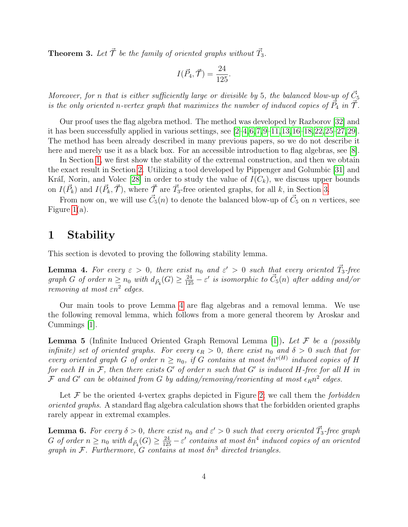<span id="page-3-4"></span>**Theorem 3.** Let  $\vec{\mathcal{T}}$  be the family of oriented graphs without  $\vec{T}_3$ .

$$
I(\vec{P}_4, \vec{\mathcal{T}}) = \frac{24}{125}.
$$

Moreover, for n that is either sufficiently large or divisible by 5, the balanced blow-up of  $\vec{C}_5$ is the only oriented n-vertex graph that maximizes the number of induced copies of  $\vec{P}_4$  in  $\vec{\mathcal{T}}$ .

Our proof uses the flag algebra method. The method was developed by Razborov [\[32\]](#page-16-2) and it has been successfully applied in various settings, see  $[2-4, 6, 7, 9-11, 13, 16-18, 22, 25-27, 29]$  $[2-4, 6, 7, 9-11, 13, 16-18, 22, 25-27, 29]$  $[2-4, 6, 7, 9-11, 13, 16-18, 22, 25-27, 29]$  $[2-4, 6, 7, 9-11, 13, 16-18, 22, 25-27, 29]$  $[2-4, 6, 7, 9-11, 13, 16-18, 22, 25-27, 29]$  $[2-4, 6, 7, 9-11, 13, 16-18, 22, 25-27, 29]$  $[2-4, 6, 7, 9-11, 13, 16-18, 22, 25-27, 29]$  $[2-4, 6, 7, 9-11, 13, 16-18, 22, 25-27, 29]$  $[2-4, 6, 7, 9-11, 13, 16-18, 22, 25-27, 29]$  $[2-4, 6, 7, 9-11, 13, 16-18, 22, 25-27, 29]$  $[2-4, 6, 7, 9-11, 13, 16-18, 22, 25-27, 29]$  $[2-4, 6, 7, 9-11, 13, 16-18, 22, 25-27, 29]$  $[2-4, 6, 7, 9-11, 13, 16-18, 22, 25-27, 29]$  $[2-4, 6, 7, 9-11, 13, 16-18, 22, 25-27, 29]$  $[2-4, 6, 7, 9-11, 13, 16-18, 22, 25-27, 29]$  $[2-4, 6, 7, 9-11, 13, 16-18, 22, 25-27, 29]$  $[2-4, 6, 7, 9-11, 13, 16-18, 22, 25-27, 29]$  $[2-4, 6, 7, 9-11, 13, 16-18, 22, 25-27, 29]$ . The method has been already described in many previous papers, so we do not describe it here and merely use it as a black box. For an accessible introduction to flag algebras, see [\[8\]](#page-15-11).

In Section [1,](#page-3-0) we first show the stability of the extremal construction, and then we obtain the exact result in Section [2.](#page-6-0) Utilizing a tool developed by Pippenger and Golumbic [\[31\]](#page-16-0) and Kráľ, Norin, and Volec [\[28\]](#page-16-11) in order to study the value of  $I(C_k)$ , we discuss upper bounds on  $I(\vec{P}_k)$  and  $I(\vec{P}_k, \vec{\mathcal{T}})$ , where  $\vec{\mathcal{T}}$  are  $\vec{T}_3$ -free oriented graphs, for all k, in Section [3.](#page-11-0)

From now on, we will use  $\vec{C}_5(n)$  to denote the balanced blow-up of  $\vec{C}_5$  on n vertices, see Figure [1\(](#page-2-1)a).

### <span id="page-3-0"></span>1 Stability

This section is devoted to proving the following stability lemma.

<span id="page-3-1"></span>**Lemma 4.** For every  $\varepsilon > 0$ , there exist  $n_0$  and  $\varepsilon' > 0$  such that every oriented  $\vec{T}_3$ -free graph G of order  $n \ge n_0$  with  $d_{\vec{P}_4}(G) \ge \frac{24}{125} - \varepsilon'$  is isomorphic to  $\vec{C}_5(n)$  after adding and/or removing at most  $\varepsilon n^2$  edges.

Our main tools to prove Lemma [4](#page-3-1) are flag algebras and a removal lemma. We use the following removal lemma, which follows from a more general theorem by Aroskar and Cummings [\[1\]](#page-14-4).

<span id="page-3-2"></span>**Lemma 5** (Infinite Induced Oriented Graph Removal Lemma [\[1\]](#page-14-4)). Let  $\mathcal F$  be a (possibly infinite) set of oriented graphs. For every  $\epsilon_R > 0$ , there exist  $n_0$  and  $\delta > 0$  such that for every oriented graph G of order  $n \geq n_0$ , if G contains at most  $\delta n^{v(H)}$  induced copies of H for each H in F, then there exists G' of order n such that G' is induced H-free for all H in  ${\cal F}$  and  $G'$  can be obtained from G by adding/removing/reorienting at most  $\epsilon_R n^2$  edges.

Let  $\mathcal F$  be the oriented 4-vertex graphs depicted in Figure [2;](#page-4-0) we call them the forbidden oriented graphs. A standard flag algebra calculation shows that the forbidden oriented graphs rarely appear in extremal examples.

<span id="page-3-3"></span>**Lemma 6.** For every  $\delta > 0$ , there exist  $n_0$  and  $\varepsilon' > 0$  such that every oriented  $\vec{T}_3$ -free graph  $G$  of order  $n \ge n_0$  with  $d_{\vec{P}_4}(G) \ge \frac{24}{125} - \varepsilon'$  contains at most  $\delta n^4$  induced copies of an oriented graph in F. Furthermore, G contains at most  $\delta n^3$  directed triangles.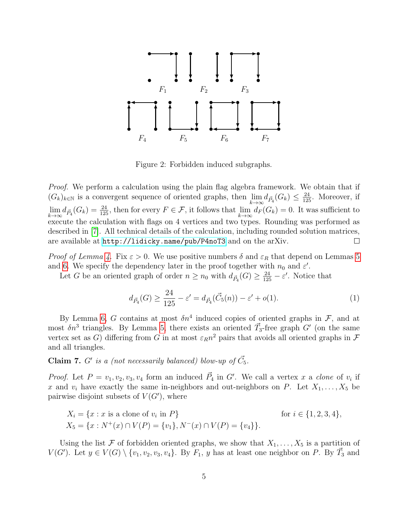

<span id="page-4-0"></span>Figure 2: Forbidden induced subgraphs.

Proof. We perform a calculation using the plain flag algebra framework. We obtain that if  $(G_k)_{k\in\mathbb{N}}$  is a convergent sequence of oriented graphs, then  $\lim_{k\to\infty} d_{\vec{P}_4}(G_k) \leq \frac{24}{125}$ . Moreover, if  $\lim_{k\to\infty} d_{\vec{P}_4}(G_k) = \frac{24}{125}$ , then for every  $F \in \mathcal{F}$ , it follows that  $\lim_{k\to\infty} d_F(G_k) = 0$ . It was sufficient to execute the calculation with flags on 4 vertices and two types. Rounding was performed as described in [\[7\]](#page-15-5). All technical details of the calculation, including rounded solution matrices, are available at <http://lidicky.name/pub/P4noT3> and on the arXiv.  $\Box$ 

*Proof of Lemma [4.](#page-3-1)* Fix  $\varepsilon > 0$ . We use positive numbers  $\delta$  and  $\varepsilon_R$  that depend on Lemmas [5](#page-3-2) and [6.](#page-3-3) We specify the dependency later in the proof together with  $n_0$  and  $\varepsilon'$ .

Let G be an oriented graph of order  $n \ge n_0$  with  $d_{\vec{P}_4}(G) \ge \frac{24}{125} - \varepsilon'$ . Notice that

$$
d_{\vec{P}_4}(G) \ge \frac{24}{125} - \varepsilon' = d_{\vec{P}_4}(\vec{C}_5(n)) - \varepsilon' + o(1). \tag{1}
$$

By Lemma [6,](#page-3-3) G contains at most  $\delta n^4$  induced copies of oriented graphs in  $\mathcal{F}$ , and at most  $\delta n^3$  triangles. By Lemma [5,](#page-3-2) there exists an oriented  $\vec{T}_3$ -free graph G' (on the same vertex set as G) differing from G in at most  $\varepsilon_R n^2$  pairs that avoids all oriented graphs in F and all triangles.

**Claim 7.** G' is a (not necessarily balanced) blow-up of  $\vec{C}_5$ .

*Proof.* Let  $P = v_1, v_2, v_3, v_4$  form an induced  $\vec{P}_4$  in G'. We call a vertex x a clone of  $v_i$  if x and  $v_i$  have exactly the same in-neighbors and out-neighbors on P. Let  $X_1, \ldots, X_5$  be pairwise disjoint subsets of  $V(G')$ , where

$$
X_i = \{x : x \text{ is a clone of } v_i \text{ in } P\} \qquad \text{for } i \in \{1, 2, 3, 4\},
$$
  

$$
X_5 = \{x : N^+(x) \cap V(P) = \{v_1\}, N^-(x) \cap V(P) = \{v_4\}\}.
$$

Using the list F of forbidden oriented graphs, we show that  $X_1, \ldots, X_5$  is a partition of  $V(G')$ . Let  $y \in V(G) \setminus \{v_1, v_2, v_3, v_4\}$ . By  $F_1$ , y has at least one neighbor on P. By  $\vec{T}_3$  and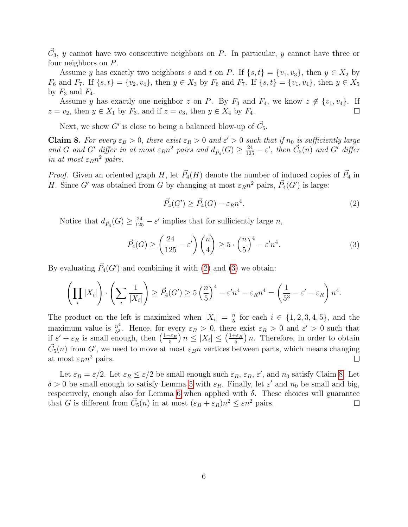$\vec{C}_3$ , y cannot have two consecutive neighbors on P. In particular, y cannot have three or four neighbors on P.

Assume y has exactly two neighbors s and t on P. If  $\{s, t\} = \{v_1, v_3\}$ , then  $y \in X_2$  by  $F_6$  and  $F_7$ . If  $\{s, t\} = \{v_2, v_4\}$ , then  $y \in X_3$  by  $F_6$  and  $F_7$ . If  $\{s, t\} = \{v_1, v_4\}$ , then  $y \in X_5$ by  $F_3$  and  $F_4$ .

Assume y has exactly one neighbor z on P. By  $F_3$  and  $F_4$ , we know  $z \notin \{v_1, v_4\}$ . If  $z = v_2$ , then  $y \in X_1$  by  $F_3$ , and if  $z = v_3$ , then  $y \in X_4$  by  $F_4$ .  $\Box$ 

Next, we show G' is close to being a balanced blow-up of  $\vec{C}_5$ .

<span id="page-5-2"></span>**Claim 8.** For every  $\varepsilon_B > 0$ , there exist  $\varepsilon_R > 0$  and  $\varepsilon' > 0$  such that if  $n_0$  is sufficiently large and G and G' differ in at most  $\varepsilon_R n^2$  pairs and  $d_{\vec{P}_4}(G) \geq \frac{24}{125} - \varepsilon'$ , then  $\vec{C}_5(n)$  and G' differ in at most  $\varepsilon_B n^2$  pairs.

*Proof.* Given an oriented graph H, let  $\vec{P}_4(H)$  denote the number of induced copies of  $\vec{P}_4$  in H. Since G' was obtained from G by changing at most  $\varepsilon_R n^2$  pairs,  $\vec{P}_4(G')$  is large:

<span id="page-5-1"></span><span id="page-5-0"></span>
$$
\vec{P}_4(G') \ge \vec{P}_4(G) - \varepsilon_R n^4. \tag{2}
$$

Notice that  $d_{\vec{P}_4}(G) \geq \frac{24}{125} - \varepsilon'$  implies that for sufficiently large n,

$$
\vec{P}_4(G) \ge \left(\frac{24}{125} - \varepsilon'\right) \binom{n}{4} \ge 5 \cdot \left(\frac{n}{5}\right)^4 - \varepsilon' n^4. \tag{3}
$$

By evaluating  $\vec{P}_4(G')$  and combining it with [\(2\)](#page-5-0) and [\(3\)](#page-5-1) we obtain:

$$
\left(\prod_i |X_i|\right) \cdot \left(\sum_i \frac{1}{|X_i|}\right) \ge \vec{P}_4(G') \ge 5\left(\frac{n}{5}\right)^4 - \varepsilon'n^4 - \varepsilon_R n^4 = \left(\frac{1}{5^3} - \varepsilon' - \varepsilon_R\right)n^4.
$$

The product on the left is maximized when  $|X_i| = \frac{n}{5}$  $\frac{n}{5}$  for each  $i \in \{1, 2, 3, 4, 5\}$ , and the maximum value is  $\frac{n^4}{5^3}$  $\frac{n^4}{5^3}$ . Hence, for every  $\varepsilon_B > 0$ , there exist  $\varepsilon_R > 0$  and  $\varepsilon' > 0$  such that if  $\varepsilon' + \varepsilon_R$  is small enough, then  $\left(\frac{1-\varepsilon_B}{5}\right)$  $\frac{\epsilon_{\mathcal{B}}}{5}$ )  $n \leq |X_i| \leq \left(\frac{1+\varepsilon_B}{5}\right)$  $\left(\frac{-\varepsilon_B}{5}\right)n$ . Therefore, in order to obtain  $\vec{C}_5(n)$  from G', we need to move at most  $\varepsilon_B n$  vertices between parts, which means changing at most  $\varepsilon_B n^2$  pairs.  $\Box$ 

Let  $\varepsilon_B = \varepsilon/2$ . Let  $\varepsilon_R \leq \varepsilon/2$  be small enough such  $\varepsilon_R$ ,  $\varepsilon_B$ ,  $\varepsilon'$ , and  $n_0$  satisfy Claim [8.](#page-5-2) Let  $\delta > 0$  be small enough to satisfy Lemma [5](#page-3-2) with  $\varepsilon_R$ . Finally, let  $\varepsilon'$  and  $n_0$  be small and big, respectively, enough also for Lemma [6](#page-3-3) when applied with  $\delta$ . These choices will guarantee that G is different from  $\vec{C}_5(n)$  in at most  $(\varepsilon_B + \varepsilon_R)n^2 \leq \varepsilon n^2$  pairs.  $\Box$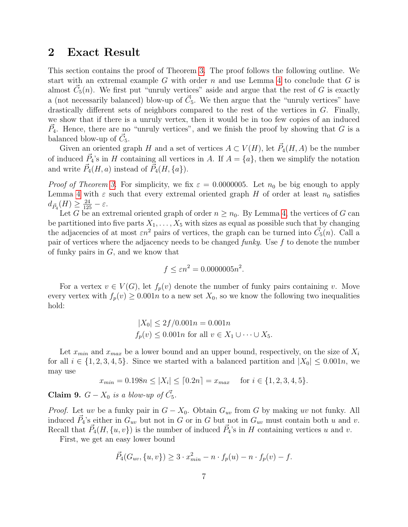### <span id="page-6-0"></span>2 Exact Result

This section contains the proof of Theorem [3.](#page-3-4) The proof follows the following outline. We start with an extremal example  $G$  with order  $n$  and use Lemma [4](#page-3-1) to conclude that  $G$  is almost  $\vec{C}_5(n)$ . We first put "unruly vertices" aside and argue that the rest of G is exactly a (not necessarily balanced) blow-up of  $\vec{C}_5$ . We then argue that the "unruly vertices" have drastically different sets of neighbors compared to the rest of the vertices in G. Finally, we show that if there is a unruly vertex, then it would be in too few copies of an induced  $\vec{P}_4$ . Hence, there are no "unruly vertices", and we finish the proof by showing that G is a balanced blow-up of  $\vec{C}_5$ .

Given an oriented graph H and a set of vertices  $A \subset V(H)$ , let  $\vec{P}_4(H, A)$  be the number of induced  $\vec{P}_4$ 's in H containing all vertices in A. If  $A = \{a\}$ , then we simplify the notation and write  $\vec{P}_4(H,a)$  instead of  $\vec{P}_4(H,\lbrace a \rbrace)$ .

*Proof of Theorem [3.](#page-3-4)* For simplicity, we fix  $\varepsilon = 0.0000005$ . Let  $n_0$  be big enough to apply Lemma [4](#page-3-1) with  $\varepsilon$  such that every extremal oriented graph H of order at least  $n_0$  satisfies  $d_{\vec{P}_4}(H) \geq \frac{24}{125} - \varepsilon.$ 

Let G be an extremal oriented graph of order  $n \geq n_0$ . By Lemma [4,](#page-3-1) the vertices of G can be partitioned into five parts  $X_1, \ldots, X_5$  with sizes as equal as possible such that by changing the adjacencies of at most  $\varepsilon n^2$  pairs of vertices, the graph can be turned into  $\vec{C}_5(n)$ . Call a pair of vertices where the adjacency needs to be changed funky. Use  $f$  to denote the number of funky pairs in  $G$ , and we know that

$$
f \le \varepsilon n^2 = 0.0000005n^2.
$$

For a vertex  $v \in V(G)$ , let  $f_p(v)$  denote the number of funky pairs containing v. Move every vertex with  $f_p(v) \geq 0.001n$  to a new set  $X_0$ , so we know the following two inequalities hold:

$$
|X_0| \le 2f/0.001n = 0.001n
$$
  
 $f_p(v) \le 0.001n$  for all  $v \in X_1 \cup \cdots \cup X_5$ .

Let  $x_{min}$  and  $x_{max}$  be a lower bound and an upper bound, respectively, on the size of  $X_i$ for all  $i \in \{1, 2, 3, 4, 5\}$ . Since we started with a balanced partition and  $|X_0| \leq 0.001n$ , we may use

$$
x_{min} = 0.198n \le |X_i| \le [0.2n] = x_{max}
$$
 for  $i \in \{1, 2, 3, 4, 5\}.$ 

<span id="page-6-1"></span>**Claim 9.**  $G - X_0$  is a blow-up of  $\vec{C}_5$ .

*Proof.* Let uv be a funky pair in  $G - X_0$ . Obtain  $G_{uv}$  from G by making uv not funky. All induced  $\vec{P}_4$ 's either in  $G_{uv}$  but not in G or in G but not in  $G_{uv}$  must contain both u and v. Recall that  $\vec{P}_4(H, \{u, v\})$  is the number of induced  $\vec{P}_4$ 's in H containing vertices u and v.

First, we get an easy lower bound

$$
\vec{P}_4(G_{uv}, \{u, v\}) \ge 3 \cdot x_{min}^2 - n \cdot f_p(u) - n \cdot f_p(v) - f.
$$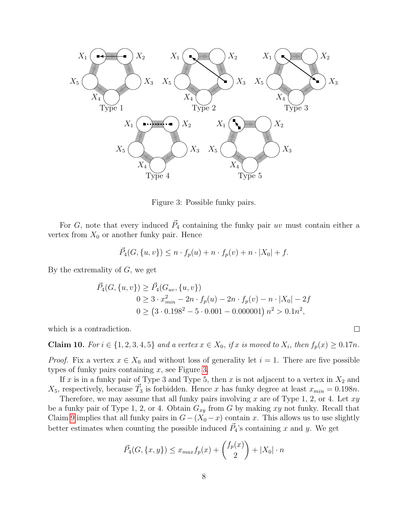

<span id="page-7-0"></span>Figure 3: Possible funky pairs.

For G, note that every induced  $\vec{P}_4$  containing the funky pair uv must contain either a vertex from  $X_0$  or another funky pair. Hence

$$
\vec{P}_4(G, \{u, v\}) \le n \cdot f_p(u) + n \cdot f_p(v) + n \cdot |X_0| + f.
$$

By the extremality of  $G$ , we get

$$
\vec{P}_4(G, \{u, v\}) \ge \vec{P}_4(G_{uv}, \{u, v\})
$$
  
\n
$$
0 \ge 3 \cdot x_{min}^2 - 2n \cdot f_p(u) - 2n \cdot f_p(v) - n \cdot |X_0| - 2f
$$
  
\n
$$
0 \ge (3 \cdot 0.198^2 - 5 \cdot 0.001 - 0.000001) n^2 > 0.1n^2,
$$

which is a contradiction.

<span id="page-7-1"></span>Claim 10. For  $i \in \{1, 2, 3, 4, 5\}$  and a vertex  $x \in X_0$ , if x is moved to  $X_i$ , then  $f_p(x) \ge 0.17n$ .

 $\Box$ 

*Proof.* Fix a vertex  $x \in X_0$  and without loss of generality let  $i = 1$ . There are five possible types of funky pairs containing  $x$ , see Figure [3.](#page-7-0)

If x is in a funky pair of Type 3 and Type 5, then x is not adjacent to a vertex in  $X_2$  and  $X_5$ , respectively, because  $\vec{T}_3$  is forbidden. Hence x has funky degree at least  $x_{min} = 0.198n$ .

Therefore, we may assume that all funky pairs involving x are of Type 1, 2, or 4. Let  $xy$ be a funky pair of Type 1, 2, or 4. Obtain  $G_{xy}$  from G by making xy not funky. Recall that Claim [9](#page-6-1) implies that all funky pairs in  $G-(X_0-x)$  contain x. This allows us to use slightly better estimates when counting the possible induced  $\vec{P}_4$ 's containing x and y. We get

$$
\vec{P}_4(G, \{x, y\}) \le x_{max} f_p(x) + {f_p(x) \choose 2} + |X_0| \cdot n
$$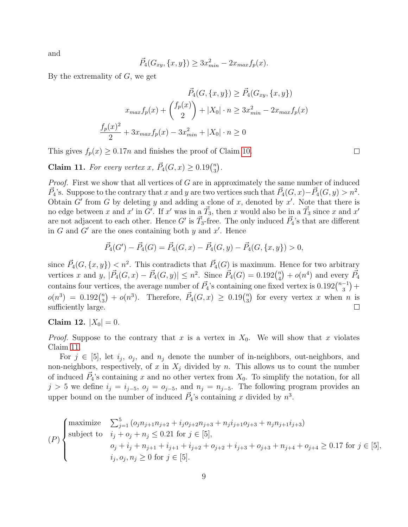and

$$
\vec{P}_4(G_{xy}, \{x, y\}) \ge 3x_{min}^2 - 2x_{max}f_p(x).
$$

By the extremality of  $G$ , we get

$$
\vec{P}_4(G, \{x, y\}) \ge \vec{P}_4(G_{xy}, \{x, y\})
$$
\n
$$
x_{max} f_p(x) + {f_p(x) \choose 2} + |X_0| \cdot n \ge 3x_{min}^2 - 2x_{max} f_p(x)
$$
\n
$$
\frac{f_p(x)^2}{2} + 3x_{max} f_p(x) - 3x_{min}^2 + |X_0| \cdot n \ge 0
$$

This gives  $f_p(x) \geq 0.17n$  and finishes the proof of Claim [10.](#page-7-1)

<span id="page-8-0"></span>**Claim 11.** For every vertex x,  $\vec{P}_4(G, x) \geq 0.19 \binom{n}{3}$  $\binom{n}{3}$  .

*Proof.* First we show that all vertices of  $G$  are in approximately the same number of induced  $\vec{P}_4$ 's. Suppose to the contrary that x and y are two vertices such that  $\vec{P}_4(G, x) - \vec{P}_4(G, y) > n^2$ . Obtain  $G'$  from G by deleting y and adding a clone of x, denoted by x'. Note that there is no edge between x and x' in G'. If x' was in a  $\vec{T}_3$ , then x would also be in a  $\vec{T}_3$  since x and x' are not adjacent to each other. Hence G' is  $\vec{T}_3$ -free. The only induced  $\vec{P}_4$ 's that are different in  $G$  and  $G'$  are the ones containing both  $y$  and  $x'$ . Hence

$$
\vec{P}_4(G') - \vec{P}_4(G) = \vec{P}_4(G, x) - \vec{P}_4(G, y) - \vec{P}_4(G, \{x, y\}) > 0,
$$

since  $\vec{P}_4(G, \{x, y\}) < n^2$ . This contradicts that  $\vec{P}_4(G)$  is maximum. Hence for two arbitrary vertices x and y,  $|\vec{P}_4(G,x) - \vec{P}_4(G,y)| \leq n^2$ . Since  $\vec{P}_4(G) = 0.192\binom{n}{4}$  $\binom{n}{4} + o(n^4)$  and every  $\vec{P_4}$ contains four vertices, the average number of  $\vec{P}_4$ 's containing one fixed vertex is  $0.192\binom{n-1}{3}$  $^{-1}_{3}) +$  $o(n^3) = 0.192\binom{n}{3}$  $\binom{n}{3}$  +  $o(n^3)$ . Therefore,  $\vec{P}_4(G, x) \geq 0.19 \binom{n}{3}$  $\binom{n}{3}$  for every vertex x when n is sufficiently large.  $\Box$ 

Claim 12.  $|X_0| = 0$ .

*Proof.* Suppose to the contrary that x is a vertex in  $X_0$ . We will show that x violates Claim [11.](#page-8-0)

For  $j \in [5]$ , let  $i_j$ ,  $o_j$ , and  $n_j$  denote the number of in-neighbors, out-neighbors, and non-neighbors, respectively, of x in  $X_i$  divided by n. This allows us to count the number of induced  $\vec{P}_4$ 's containing x and no other vertex from  $X_0$ . To simplify the notation, for all  $j > 5$  we define  $i_j = i_{j-5}$ ,  $o_j = o_{j-5}$ , and  $n_j = n_{j-5}$ . The following program provides an upper bound on the number of induced  $\vec{P}_4$ 's containing x divided by  $n^3$ .

$$
(P)\n\begin{cases}\n\text{maximize} & \sum_{j=1}^{5} \left( o_{j} n_{j+1} n_{j+2} + i_{j} o_{j+2} n_{j+3} + n_{j} i_{j+1} o_{j+3} + n_{j} n_{j+1} i_{j+3} \right) \\
\text{subject to} & i_{j} + o_{j} + n_{j} \leq 0.21 \text{ for } j \in [5], \\
& o_{j} + i_{j} + n_{j+1} + i_{j+1} + i_{j+2} + o_{j+2} + i_{j+3} + o_{j+3} + n_{j+4} + o_{j+4} \geq 0.17 \text{ for } j \in [5], \\
& i_{j}, o_{j}, n_{j} \geq 0 \text{ for } j \in [5].\n\end{cases}
$$

 $\Box$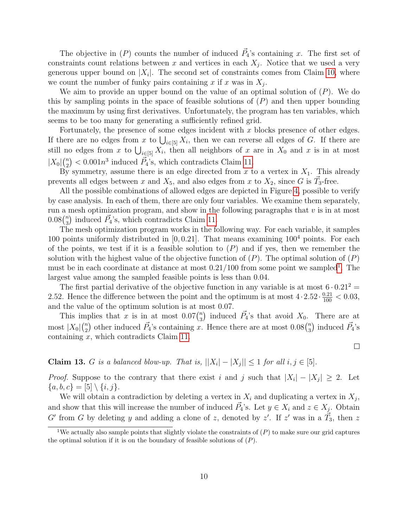The objective in  $(P)$  counts the number of induced  $\vec{P}_4$ 's containing x. The first set of constraints count relations between x and vertices in each  $X_j$ . Notice that we used a very generous upper bound on  $|X_i|$ . The second set of constraints comes from Claim [10,](#page-7-1) where we count the number of funky pairs containing x if x was in  $X_j$ .

We aim to provide an upper bound on the value of an optimal solution of  $(P)$ . We do this by sampling points in the space of feasible solutions of  $(P)$  and then upper bounding the maximum by using first derivatives. Unfortunately, the program has ten variables, which seems to be too many for generating a sufficiently refined grid.

Fortunately, the presence of some edges incident with  $x$  blocks presence of other edges. If there are no edges from x to  $\bigcup_{i\in[5]} X_i$ , then we can reverse all edges of G. If there are still no edges from x to  $\bigcup_{i\in[5]} X_i$ , then all neighbors of x are in  $X_0$  and x is in at most  $|X_0| \binom{n}{2}$  $\binom{n}{2}$  < 0.001 $n^3$  induced  $\vec{P}_4$ 's, which contradicts Claim [11.](#page-8-0)

By symmetry, assume there is an edge directed from  $x$  to a vertex in  $X_1$ . This already prevents all edges between x and  $X_5$ , and also edges from x to  $X_2$ , since G is  $\vec{T}_3$ -free.

All the possible combinations of allowed edges are depicted in Figure [4,](#page-10-0) possible to verify by case analysis. In each of them, there are only four variables. We examine them separately, run a mesh optimization program, and show in the following paragraphs that  $v$  is in at most  $0.08\binom{n}{3}$  $\binom{n}{3}$  induced  $\vec{P}_4$ 's, which contradicts Claim [11.](#page-8-0)

The mesh optimization program works in the following way. For each variable, it samples 100 points uniformly distributed in  $[0, 0.21]$ . That means examining  $100<sup>4</sup>$  points. For each of the points, we test if it is a feasible solution to  $(P)$  and if yes, then we remember the solution with the highest value of the objective function of  $(P)$ . The optimal solution of  $(P)$ must be in each coordinate at distance at most  $0.21/100$  $0.21/100$  $0.21/100$  from some point we sampled<sup>1</sup>. The largest value among the sampled feasible points is less than 0.04.

The first partial derivative of the objective function in any variable is at most  $6 \cdot 0.21^2$  = 2.52. Hence the difference between the point and the optimum is at most  $4 \cdot 2.52 \cdot \frac{0.21}{100} < 0.03$ , and the value of the optimum solution is at most 0.07.

This implies that x is in at most  $0.07\binom{n}{3}$  $\binom{n}{3}$  induced  $\vec{P}_4$ 's that avoid  $X_0$ . There are at most  $|X_0| \binom{n}{2}$  $\binom{n}{2}$  other induced  $\vec{P}_4$ 's containing x. Hence there are at most  $0.08\binom{n}{3}$  $\binom{n}{3}$  induced  $\vec{P_4}$ 's containing x, which contradicts Claim [11.](#page-8-0)

**Claim 13.** G is a balanced blow-up. That is,  $||X_i| - |X_j|| \leq 1$  for all  $i, j \in [5]$ .

*Proof.* Suppose to the contrary that there exist i and j such that  $|X_i| - |X_j| \geq 2$ . Let  ${a, b, c} = [5] \setminus {i, j}.$ 

We will obtain a contradiction by deleting a vertex in  $X_i$  and duplicating a vertex in  $X_j$ , and show that this will increase the number of induced  $\vec{P}_4$ 's. Let  $y \in X_i$  and  $z \in X_j$ . Obtain G' from G by deleting y and adding a clone of z, denoted by z'. If z' was in a  $\vec{T}_3$ , then z

 $\Box$ 

<span id="page-9-0"></span><sup>&</sup>lt;sup>1</sup>We actually also sample points that slightly violate the constraints of  $(P)$  to make sure our grid captures the optimal solution if it is on the boundary of feasible solutions of  $(P)$ .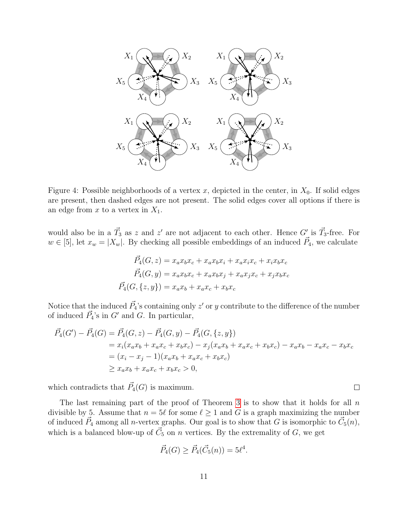

<span id="page-10-0"></span>Figure 4: Possible neighborhoods of a vertex x, depicted in the center, in  $X_0$ . If solid edges are present, then dashed edges are not present. The solid edges cover all options if there is an edge from  $x$  to a vertex in  $X_1$ .

would also be in a  $\vec{T}_3$  as z and z' are not adjacent to each other. Hence G' is  $\vec{T}_3$ -free. For  $w \in [5]$ , let  $x_w = |X_w|$ . By checking all possible embeddings of an induced  $\vec{P}_4$ , we calculate

$$
\vec{P}_4(G, z) = x_a x_b x_c + x_a x_b x_i + x_a x_i x_c + x_i x_b x_c
$$

$$
\vec{P}_4(G, y) = x_a x_b x_c + x_a x_b x_j + x_a x_j x_c + x_j x_b x_c
$$

$$
\vec{P}_4(G, \{z, y\}) = x_a x_b + x_a x_c + x_b x_c
$$

Notice that the induced  $\vec{P_4}$ 's containing only  $z'$  or y contribute to the difference of the number of induced  $\vec{P}_4$ 's in  $G'$  and  $G$ . In particular,

$$
\vec{P}_4(G') - \vec{P}_4(G) = \vec{P}_4(G, z) - \vec{P}_4(G, y) - \vec{P}_4(G, \{z, y\})
$$
\n
$$
= x_i(x_a x_b + x_a x_c + x_b x_c) - x_j(x_a x_b + x_a x_c + x_b x_c) - x_a x_b - x_a x_c - x_b x_c
$$
\n
$$
= (x_i - x_j - 1)(x_a x_b + x_a x_c + x_b x_c)
$$
\n
$$
\ge x_a x_b + x_a x_c + x_b x_c > 0,
$$

which contradicts that  $\vec{P}_4(G)$  is maximum.

The last remaining part of the proof of Theorem [3](#page-3-4) is to show that it holds for all  $n$ divisible by 5. Assume that  $n = 5\ell$  for some  $\ell \ge 1$  and G is a graph maximizing the number of induced  $\vec{P}_4$  among all *n*-vertex graphs. Our goal is to show that G is isomorphic to  $\vec{C}_5(n)$ , which is a balanced blow-up of  $\vec{C}_5$  on n vertices. By the extremality of G, we get

$$
\vec{P}_4(G) \ge \vec{P}_4(\vec{C}_5(n)) = 5\ell^4.
$$

 $\Box$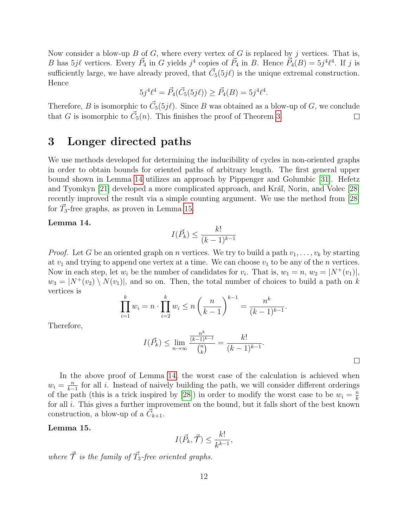Now consider a blow-up B of G, where every vertex of G is replaced by j vertices. That is, B has  $5j\ell$  vertices. Every  $\vec{P}_4$  in G yields  $j^4$  copies of  $\vec{P}_4$  in B. Hence  $\vec{P}_4(B) = 5j^4\ell^4$ . If j is sufficiently large, we have already proved, that  $\vec{C}_5(5j\ell)$  is the unique extremal construction. Hence

$$
5j^{4}\ell^{4} = \vec{P}_{4}(\vec{C}_{5}(5j\ell)) \geq \vec{P}_{4}(B) = 5j^{4}\ell^{4}.
$$

Therefore, B is isomorphic to  $\vec{C}_5(5j\ell)$ . Since B was obtained as a blow-up of G, we conclude that G is isomorphic to  $\vec{C}_5(n)$ . This finishes the proof of Theorem [3.](#page-3-4)  $\Box$ 

### <span id="page-11-0"></span>3 Longer directed paths

We use methods developed for determining the inducibility of cycles in non-oriented graphs in order to obtain bounds for oriented paths of arbitrary length. The first general upper bound shown in Lemma [14](#page-11-1) utilizes an approach by Pippenger and Golumbic [\[31\]](#page-16-0). Hefetz and Tyomkyn [\[21\]](#page-16-12) developed a more complicated approach, and Kráľ, Norin, and Volec [\[28\]](#page-16-11) recently improved the result via a simple counting argument. We use the method from [\[28\]](#page-16-11) for  $\vec{T}_3$ -free graphs, as proven in Lemma [15.](#page-11-2)

### <span id="page-11-1"></span>Lemma 14.

$$
I(\vec{P}_k) \le \frac{k!}{(k-1)^{k-1}}
$$

*Proof.* Let G be an oriented graph on n vertices. We try to build a path  $v_1, \ldots, v_k$  by starting at  $v_1$  and trying to append one vertex at a time. We can choose  $v_1$  to be any of the n vertices. Now in each step, let  $w_i$  be the number of candidates for  $v_i$ . That is,  $w_1 = n$ ,  $w_2 = |N^+(v_1)|$ ,  $w_3 = |N^+(v_2) \setminus N(v_1)|$ , and so on. Then, the total number of choices to build a path on k vertices is

$$
\prod_{i=1}^{k} w_i = n \cdot \prod_{i=2}^{k} w_i \le n \left(\frac{n}{k-1}\right)^{k-1} = \frac{n^k}{(k-1)^{k-1}}.
$$

Therefore,

$$
I(\vec{P}_k) \le \lim_{n \to \infty} \frac{\frac{n^k}{(k-1)^{k-1}}}{\binom{n}{k}} = \frac{k!}{(k-1)^{k-1}}.
$$

 $\Box$ 

In the above proof of Lemma [14,](#page-11-1) the worst case of the calculation is achieved when  $w_i = \frac{n}{k-1}$  $\frac{n}{k-1}$  for all i. Instead of naively building the path, we will consider different orderings of the path (this is a trick inspired by [\[28\]](#page-16-11)) in order to modify the worst case to be  $w_i = \frac{n}{k}$ k for all  $i$ . This gives a further improvement on the bound, but it falls short of the best known construction, a blow-up of a  $\vec{C}_{k+1}$ .

#### <span id="page-11-2"></span>Lemma 15.

$$
I(\vec{P}_k, \vec{\mathcal{T}}) \le \frac{k!}{k^{k-1}},
$$

where  $\vec{\mathcal{T}}$  is the family of  $\vec{T}_3$ -free oriented graphs.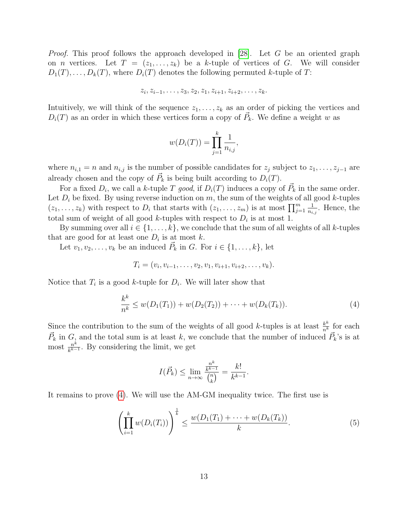*Proof.* This proof follows the approach developed in [\[28\]](#page-16-11). Let G be an oriented graph on *n* vertices. Let  $T = (z_1, \ldots, z_k)$  be a k-tuple of vertices of G. We will consider  $D_1(T), \ldots, D_k(T)$ , where  $D_i(T)$  denotes the following permuted k-tuple of T:

$$
z_i, z_{i-1}, \ldots, z_3, z_2, z_1, z_{i+1}, z_{i+2}, \ldots, z_k.
$$

Intuitively, we will think of the sequence  $z_1, \ldots, z_k$  as an order of picking the vertices and  $D_i(T)$  as an order in which these vertices form a copy of  $\vec{P}_k$ . We define a weight w as

$$
w(D_i(T)) = \prod_{j=1}^k \frac{1}{n_{i,j}},
$$

where  $n_{i,1} = n$  and  $n_{i,j}$  is the number of possible candidates for  $z_j$  subject to  $z_1, \ldots, z_{j-1}$  are already chosen and the copy of  $\vec{P}_k$  is being built according to  $D_i(T)$ .

For a fixed  $D_i$ , we call a k-tuple T good, if  $D_i(T)$  induces a copy of  $\vec{P}_k$  in the same order. Let  $D_i$  be fixed. By using reverse induction on m, the sum of the weights of all good k-tuples  $(z_1, \ldots, z_k)$  with respect to  $D_i$  that starts with  $(z_1, \ldots, z_m)$  is at most  $\prod_{j=1}^m \frac{1}{n_i}$  $\frac{1}{n_{i,j}}$ . Hence, the total sum of weight of all good k-tuples with respect to  $D_i$  is at most 1.

By summing over all  $i \in \{1, \ldots, k\}$ , we conclude that the sum of all weights of all k-tuples that are good for at least one  $D_i$  is at most k.

Let  $v_1, v_2, \ldots, v_k$  be an induced  $\vec{P}_k$  in G. For  $i \in \{1, \ldots, k\}$ , let

$$
T_i = (v_i, v_{i-1}, \dots, v_2, v_1, v_{i+1}, v_{i+2}, \dots, v_k).
$$

Notice that  $T_i$  is a good k-tuple for  $D_i$ . We will later show that

$$
\frac{k^k}{n^k} \le w(D_1(T_1)) + w(D_2(T_2)) + \dots + w(D_k(T_k)).
$$
\n(4)

Since the contribution to the sum of the weights of all good k-tuples is at least  $\frac{k^k}{n^k}$  for each  $\vec{P}_k$  in  $G$ , and the total sum is at least k, we conclude that the number of induced  $\vec{P}_k$ 's is at most  $\frac{n^k}{k^k-1}$  $\frac{n^{\kappa}}{k^{k-1}}$ . By considering the limit, we get

$$
I(\vec{P}_k) \le \lim_{n \to \infty} \frac{\frac{n^k}{k^{k-1}}}{\binom{n}{k}} = \frac{k!}{k^{k-1}}
$$

It remains to prove [\(4\)](#page-12-0). We will use the AM-GM inequality twice. The first use is

$$
\left(\prod_{i=1}^{k} w(D_i(T_i))\right)^{\frac{1}{k}} \le \frac{w(D_1(T_1) + \dots + w(D_k(T_k))}{k}.
$$
\n(5)

<span id="page-12-1"></span><span id="page-12-0"></span>.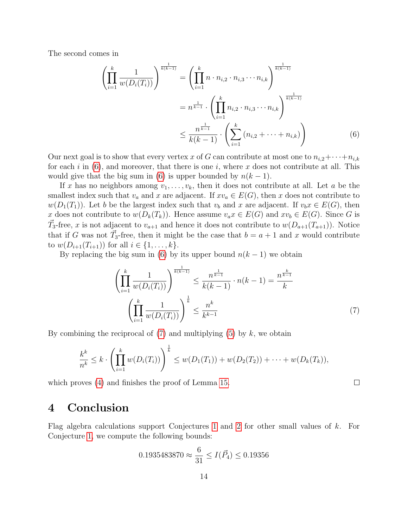The second comes in

$$
\left(\prod_{i=1}^{k} \frac{1}{w(D_i(T_i))}\right)^{\frac{1}{k(k-1)}} = \left(\prod_{i=1}^{k} n \cdot n_{i,2} \cdot n_{i,3} \cdots n_{i,k}\right)^{\frac{1}{k(k-1)}}
$$

$$
= n^{\frac{1}{k-1}} \cdot \left(\prod_{i=1}^{k} n_{i,2} \cdot n_{i,3} \cdots n_{i,k}\right)^{\frac{1}{k(k-1)}}
$$

$$
\leq \frac{n^{\frac{1}{k-1}}}{k(k-1)} \cdot \left(\sum_{i=1}^{k} (n_{i,2} + \cdots + n_{i,k})\right)
$$
(6)

Our next goal is to show that every vertex x of G can contribute at most one to  $n_{i,2} + \cdots + n_{i,k}$ for each i in  $(6)$ , and moreover, that there is one i, where x does not contribute at all. This would give that the big sum in [\(6\)](#page-13-0) is upper bounded by  $n(k-1)$ .

If x has no neighbors among  $v_1, \ldots, v_k$ , then it does not contribute at all. Let a be the smallest index such that  $v_a$  and x are adjacent. If  $xv_a \in E(G)$ , then x does not contribute to  $w(D_1(T_1))$ . Let b be the largest index such that  $v_b$  and x are adjacent. If  $v_bx \in E(G)$ , then x does not contribute to  $w(D_k(T_k))$ . Hence assume  $v_a x \in E(G)$  and  $xv_b \in E(G)$ . Since G is  $\vec{T}_3$ -free, x is not adjacent to  $v_{a+1}$  and hence it does not contribute to  $w(D_{a+1}(T_{a+1}))$ . Notice that if G was not  $\vec{T}_3$ -free, then it might be the case that  $b = a + 1$  and x would contribute to  $w(D_{i+1}(T_{i+1}))$  for all  $i \in \{1, ..., k\}$ .

By replacing the big sum in [\(6\)](#page-13-0) by its upper bound  $n(k-1)$  we obtain

$$
\left(\prod_{i=1}^{k} \frac{1}{w(D_i(T_i))}\right)^{\frac{1}{k(k-1)}} \le \frac{n^{\frac{1}{k-1}}}{k(k-1)} \cdot n(k-1) = \frac{n^{\frac{k}{k-1}}}{k}
$$
\n
$$
\left(\prod_{i=1}^{k} \frac{1}{w(D_i(T_i))}\right)^{\frac{1}{k}} \le \frac{n^k}{k^{k-1}} \tag{7}
$$

<span id="page-13-1"></span><span id="page-13-0"></span> $\Box$ 

By combining the reciprocal of  $(7)$  and multiplying  $(5)$  by k, we obtain

$$
\frac{k^k}{n^k} \leq k \cdot \left(\prod_{i=1}^k w(D_i(T_i))\right)^{\frac{1}{k}} \leq w(D_1(T_1)) + w(D_2(T_2)) + \cdots + w(D_k(T_k)),
$$

which proves [\(4\)](#page-12-0) and finishes the proof of Lemma [15.](#page-11-2)

### 4 Conclusion

Flag algebra calculations support Conjectures [1](#page-1-0) and [2](#page-2-0) for other small values of k. For Conjecture [1,](#page-1-0) we compute the following bounds:

$$
0.1935483870 \approx \frac{6}{31} \le I(\vec{P}_4) \le 0.19356
$$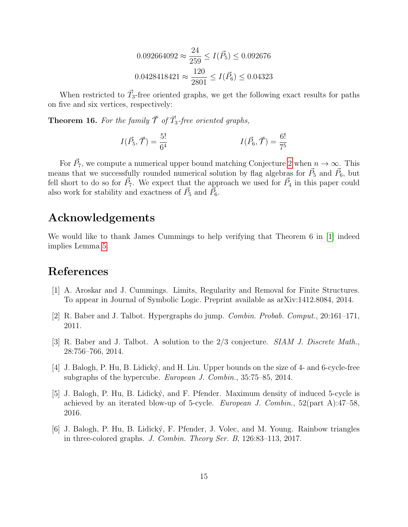$$
0.092664092 \approx \frac{24}{259} \le I(\vec{P}_5) \le 0.092676
$$

$$
0.0428418421 \approx \frac{120}{2801} \le I(\vec{P}_6) \le 0.04323
$$

When restricted to  $\vec{T}_3$ -free oriented graphs, we get the following exact results for paths on five and six vertices, respectively:

**Theorem 16.** For the family  $\vec{\mathcal{T}}$  of  $\vec{T}_3$ -free oriented graphs,

$$
I(\vec{P}_5, \vec{\mathcal{T}}) = \frac{5!}{6^4} \qquad I(\vec{P}_6, \vec{\mathcal{T}}) = \frac{6!}{7^5}
$$

For  $\vec{P}_7$ , we compute a numerical upper bound matching Conjecture [2](#page-2-0) when  $n \to \infty$ . This means that we successfully rounded numerical solution by flag algebras for  $\vec{P}_5$  and  $\vec{P}_6$ , but fell short to do so for  $\vec{P}_7$ . We expect that the approach we used for  $\vec{P}_4$  in this paper could also work for stability and exactness of  $\vec{P}_5$  and  $\vec{P}_6$ .

## Acknowledgements

We would like to thank James Cummings to help verifying that Theorem 6 in [\[1\]](#page-14-4) indeed implies Lemma [5.](#page-3-2)

### References

- <span id="page-14-4"></span>[1] A. Aroskar and J. Cummings. Limits, Regularity and Removal for Finite Structures. To appear in Journal of Symbolic Logic. Preprint available as arXiv:1412.8084, 2014.
- <span id="page-14-1"></span>[2] R. Baber and J. Talbot. Hypergraphs do jump. Combin. Probab. Comput., 20:161–171, 2011.
- [3] R. Baber and J. Talbot. A solution to the 2/3 conjecture. SIAM J. Discrete Math., 28:756–766, 2014.
- <span id="page-14-2"></span>[4] J. Balogh, P. Hu, B. Lidick´y, and H. Liu. Upper bounds on the size of 4- and 6-cycle-free subgraphs of the hypercube. European J. Combin., 35:75–85, 2014.
- <span id="page-14-0"></span>[5] J. Balogh, P. Hu, B. Lidick´y, and F. Pfender. Maximum density of induced 5-cycle is achieved by an iterated blow-up of 5-cycle. European J. Combin.,  $52$ (part A):47–58, 2016.
- <span id="page-14-3"></span>[6] J. Balogh, P. Hu, B. Lidick´y, F. Pfender, J. Volec, and M. Young. Rainbow triangles in three-colored graphs. J. Combin. Theory Ser. B, 126:83–113, 2017.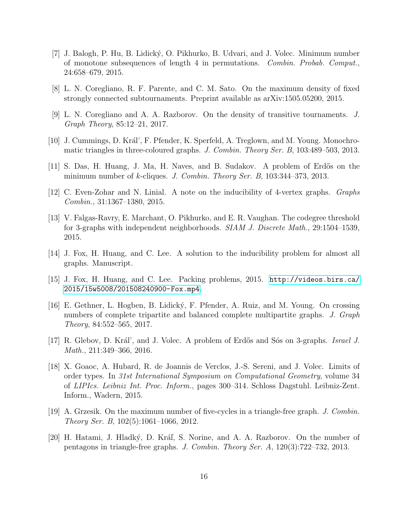- <span id="page-15-5"></span>[7] J. Balogh, P. Hu, B. Lidick´y, O. Pikhurko, B. Udvari, and J. Volec. Minimum number of monotone subsequences of length 4 in permutations. Combin. Probab. Comput., 24:658–679, 2015.
- <span id="page-15-11"></span>[8] L. N. Coregliano, R. F. Parente, and C. M. Sato. On the maximum density of fixed strongly connected subtournaments. Preprint available as arXiv:1505.05200, 2015.
- <span id="page-15-6"></span>[9] L. N. Coregliano and A. A. Razborov. On the density of transitive tournaments. J. Graph Theory, 85:12–21, 2017.
- [10] J. Cummings, D. Král', F. Pfender, K. Sperfeld, A. Treglown, and M. Young. Monochromatic triangles in three-coloured graphs. J. Combin. Theory Ser. B, 103:489–503, 2013.
- <span id="page-15-7"></span>[11] S. Das, H. Huang, J. Ma, H. Naves, and B. Sudakov. A problem of Erdős on the minimum number of  $k$ -cliques. J. Combin. Theory Ser. B, 103:344-373, 2013.
- <span id="page-15-2"></span>[12] C. Even-Zohar and N. Linial. A note on the inducibility of 4-vertex graphs. Graphs Combin., 31:1367–1380, 2015.
- <span id="page-15-8"></span>[13] V. Falgas-Ravry, E. Marchant, O. Pikhurko, and E. R. Vaughan. The codegree threshold for 3-graphs with independent neighborhoods. SIAM J. Discrete Math., 29:1504–1539, 2015.
- <span id="page-15-0"></span>[14] J. Fox, H. Huang, and C. Lee. A solution to the inducibility problem for almost all graphs. Manuscript.
- <span id="page-15-1"></span>[15] J. Fox, H. Huang, and C. Lee. Packing problems, 2015. [http://videos.birs.ca/](http://videos.birs.ca/2015/15w5008/201508240900-Fox.mp4) [2015/15w5008/201508240900-Fox.mp4](http://videos.birs.ca/2015/15w5008/201508240900-Fox.mp4).
- <span id="page-15-9"></span>[16] E. Gethner, L. Hogben, B. Lidick´y, F. Pfender, A. Ruiz, and M. Young. On crossing numbers of complete tripartite and balanced complete multipartite graphs. J. Graph Theory, 84:552–565, 2017.
- [17] R. Glebov, D. Král', and J. Volec. A problem of Erdős and Sós on 3-graphs. Israel J. Math., 211:349–366, 2016.
- <span id="page-15-10"></span>[18] X. Goaoc, A. Hubard, R. de Joannis de Verclos, J.-S. Sereni, and J. Volec. Limits of order types. In 31st International Symposium on Computational Geometry, volume 34 of LIPIcs. Leibniz Int. Proc. Inform., pages 300–314. Schloss Dagstuhl. Leibniz-Zent. Inform., Wadern, 2015.
- <span id="page-15-4"></span>[19] A. Grzesik. On the maximum number of five-cycles in a triangle-free graph. J. Combin. Theory Ser. B, 102(5):1061–1066, 2012.
- <span id="page-15-3"></span>[20] H. Hatami, J. Hladký, D. Kráľ, S. Norine, and A. A. Razborov. On the number of pentagons in triangle-free graphs. J. Combin. Theory Ser. A, 120(3):722–732, 2013.